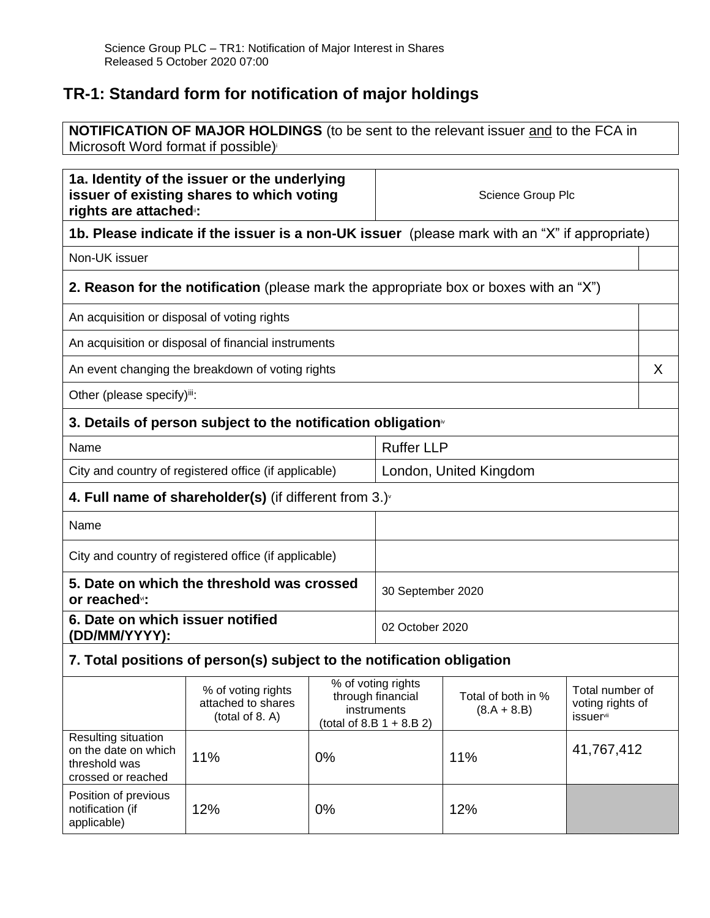## **TR-1: Standard form for notification of major holdings**

notification (if applicable)

**NOTIFICATION OF MAJOR HOLDINGS** (to be sent to the relevant issuer and to the FCA in Microsoft Word format if possible)

| 1a. Identity of the issuer or the underlying<br>issuer of existing shares to which voting<br>rights are attached :: |                                                                                               |                        | Science Group Plc                                                                    |                                                                                                            |            |   |
|---------------------------------------------------------------------------------------------------------------------|-----------------------------------------------------------------------------------------------|------------------------|--------------------------------------------------------------------------------------|------------------------------------------------------------------------------------------------------------|------------|---|
|                                                                                                                     | 1b. Please indicate if the issuer is a non-UK issuer (please mark with an "X" if appropriate) |                        |                                                                                      |                                                                                                            |            |   |
| Non-UK issuer                                                                                                       |                                                                                               |                        |                                                                                      |                                                                                                            |            |   |
|                                                                                                                     | <b>2. Reason for the notification</b> (please mark the appropriate box or boxes with an "X")  |                        |                                                                                      |                                                                                                            |            |   |
| An acquisition or disposal of voting rights                                                                         |                                                                                               |                        |                                                                                      |                                                                                                            |            |   |
|                                                                                                                     | An acquisition or disposal of financial instruments                                           |                        |                                                                                      |                                                                                                            |            |   |
|                                                                                                                     | An event changing the breakdown of voting rights                                              |                        |                                                                                      |                                                                                                            |            | X |
| Other (please specify)iii:                                                                                          |                                                                                               |                        |                                                                                      |                                                                                                            |            |   |
| 3. Details of person subject to the notification obligation                                                         |                                                                                               |                        |                                                                                      |                                                                                                            |            |   |
| Name                                                                                                                |                                                                                               |                        | <b>Ruffer LLP</b>                                                                    |                                                                                                            |            |   |
| City and country of registered office (if applicable)                                                               |                                                                                               | London, United Kingdom |                                                                                      |                                                                                                            |            |   |
| 4. Full name of shareholder(s) (if different from $3.$ )                                                            |                                                                                               |                        |                                                                                      |                                                                                                            |            |   |
| Name                                                                                                                |                                                                                               |                        |                                                                                      |                                                                                                            |            |   |
| City and country of registered office (if applicable)                                                               |                                                                                               |                        |                                                                                      |                                                                                                            |            |   |
| 5. Date on which the threshold was crossed<br>or reached <sup>vi</sup> :                                            |                                                                                               |                        | 30 September 2020                                                                    |                                                                                                            |            |   |
| 6. Date on which issuer notified<br>(DD/MM/YYYY):                                                                   |                                                                                               | 02 October 2020        |                                                                                      |                                                                                                            |            |   |
| 7. Total positions of person(s) subject to the notification obligation                                              |                                                                                               |                        |                                                                                      |                                                                                                            |            |   |
|                                                                                                                     | % of voting rights<br>attached to shares<br>(total of 8. A)                                   | instruments            | $\overline{\%}$ of voting rights<br>through financial<br>(total of 8.B $1 + 8.B 2$ ) | Total number of<br>Total of both in %<br>voting rights of<br>$(8.A + 8.B)$<br><i>issuer</i> <sup>vii</sup> |            |   |
| Resulting situation<br>on the date on which<br>threshold was<br>crossed or reached                                  | 11%                                                                                           | 0%                     |                                                                                      | 11%                                                                                                        | 41,767,412 |   |
| Position of previous                                                                                                |                                                                                               |                        |                                                                                      |                                                                                                            |            |   |

12% 0% 12%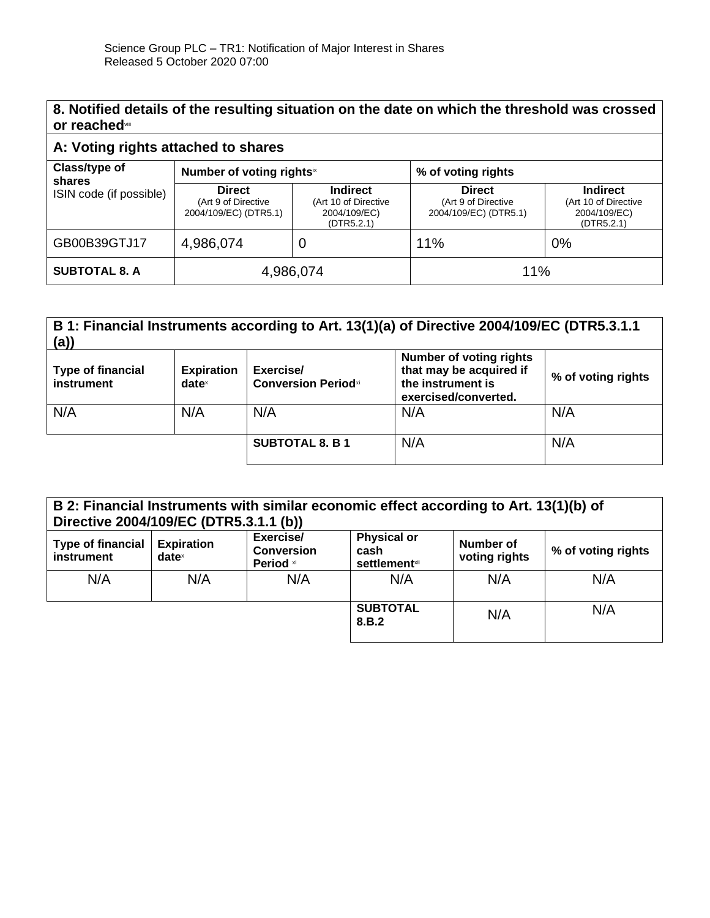## **8. Notified details of the resulting situation on the date on which the threshold was crossed or reached**viii

## **A: Voting rights attached to shares**

| Class/type of<br>shares | Number of voting rightsix                                     |                                                                       | % of voting rights                                            |                                                                       |
|-------------------------|---------------------------------------------------------------|-----------------------------------------------------------------------|---------------------------------------------------------------|-----------------------------------------------------------------------|
| ISIN code (if possible) | <b>Direct</b><br>(Art 9 of Directive<br>2004/109/EC) (DTR5.1) | <b>Indirect</b><br>(Art 10 of Directive<br>2004/109/EC)<br>(DTR5.2.1) | <b>Direct</b><br>(Art 9 of Directive<br>2004/109/EC) (DTR5.1) | <b>Indirect</b><br>(Art 10 of Directive<br>2004/109/EC)<br>(DTR5.2.1) |
| GB00B39GTJ17            | 4,986,074                                                     | Ü                                                                     | 11%                                                           | 0%                                                                    |
| <b>SUBTOTAL 8. A</b>    | 4,986,074                                                     |                                                                       | 11%                                                           |                                                                       |

| B 1: Financial Instruments according to Art. 13(1)(a) of Directive 2004/109/EC (DTR5.3.1.1<br>(a) |                                                        |                                         |                                                                                                        |                    |
|---------------------------------------------------------------------------------------------------|--------------------------------------------------------|-----------------------------------------|--------------------------------------------------------------------------------------------------------|--------------------|
| <b>Type of financial</b><br>instrument                                                            | <b>Expiration</b><br>$date^{\scriptscriptstyle\times}$ | Exercise/<br><b>Conversion Periodxi</b> | <b>Number of voting rights</b><br>that may be acquired if<br>the instrument is<br>exercised/converted. | % of voting rights |
| N/A                                                                                               | N/A                                                    | N/A                                     | N/A                                                                                                    | N/A                |
|                                                                                                   |                                                        | <b>SUBTOTAL 8. B 1</b>                  | N/A                                                                                                    | N/A                |

| B 2: Financial Instruments with similar economic effect according to Art. 13(1)(b) of<br>Directive 2004/109/EC (DTR5.3.1.1 (b)) |                               |                                             |                                                     |                            |                    |
|---------------------------------------------------------------------------------------------------------------------------------|-------------------------------|---------------------------------------------|-----------------------------------------------------|----------------------------|--------------------|
| <b>Type of financial</b><br>instrument                                                                                          | <b>Expiration</b><br>$date^x$ | Exercise/<br><b>Conversion</b><br>Period xi | <b>Physical or</b><br>cash<br><b>settlement</b> xii | Number of<br>voting rights | % of voting rights |
| N/A                                                                                                                             | N/A                           | N/A                                         | N/A                                                 | N/A                        | N/A                |
|                                                                                                                                 |                               |                                             | <b>SUBTOTAL</b><br>8.B.2                            | N/A                        | N/A                |